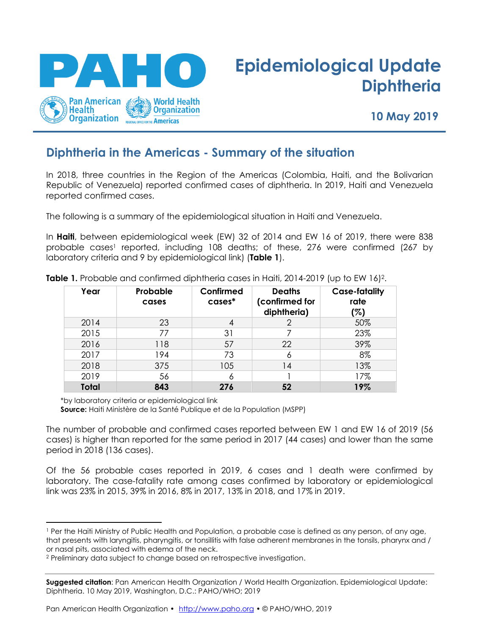

# **Epidemiological Update Diphtheria**

**10 May 2019**

## **Diphtheria in the Americas - Summary of the situation**

In 2018, three countries in the Region of the Americas (Colombia, Haiti, and the Bolivarian Republic of Venezuela) reported confirmed cases of diphtheria. In 2019, Haiti and Venezuela reported confirmed cases.

The following is a summary of the epidemiological situation in Haiti and Venezuela.

In **Haiti**, between epidemiological week (EW) 32 of 2014 and EW 16 of 2019, there were 838 probable cases <sup>1</sup> reported, including 108 deaths; of these, 276 were confirmed (267 by laboratory criteria and 9 by epidemiological link) (**Table 1**).

| Year         | Probable<br>cases | Confirmed<br>$cases^*$ | <b>Deaths</b><br>(confirmed for<br>diphtheria) | <b>Case-fatality</b><br>rate<br>(%) |
|--------------|-------------------|------------------------|------------------------------------------------|-------------------------------------|
| 2014         | 23                | 4                      |                                                | 50%                                 |
| 2015         | 77                | 31                     |                                                | 23%                                 |
| 2016         | 118               | 57                     | 22                                             | 39%                                 |
| 2017         | 194               | 73                     | Ô                                              | 8%                                  |
| 2018         | 375               | 105                    | 14                                             | 13%                                 |
| 2019         | 56                |                        |                                                | 17%                                 |
| <b>Total</b> | 843               | 276                    | 52                                             | 19%                                 |

**Table 1.** Probable and confirmed diphtheria cases in Haiti, 2014-2019 (up to EW 16) 2.

\*by laboratory criteria or epidemiological link

 $\overline{a}$ 

**Source:** Haiti Ministère de la Santé Publique et de la Population (MSPP)

The number of probable and confirmed cases reported between EW 1 and EW 16 of 2019 (56 cases) is higher than reported for the same period in 2017 (44 cases) and lower than the same period in 2018 (136 cases).

Of the 56 probable cases reported in 2019, 6 cases and 1 death were confirmed by laboratory. The case-fatality rate among cases confirmed by laboratory or epidemiological link was 23% in 2015, 39% in 2016, 8% in 2017, 13% in 2018, and 17% in 2019.

Pan American Health Organization • http://www.paho.org • © PAHO/WHO, 2019

<sup>1</sup> Per the Haiti Ministry of Public Health and Population, a probable case is defined as any person, of any age, that presents with laryngitis, pharyngitis, or tonsillitis with false adherent membranes in the tonsils, pharynx and / or nasal pits, associated with edema of the neck.

<sup>2</sup> Preliminary data subject to change based on retrospective investigation.

**Suggested citation**: Pan American Health Organization / World Health Organization. Epidemiological Update: Diphtheria. 10 May 2019, Washington, D.C.: PAHO/WHO; 2019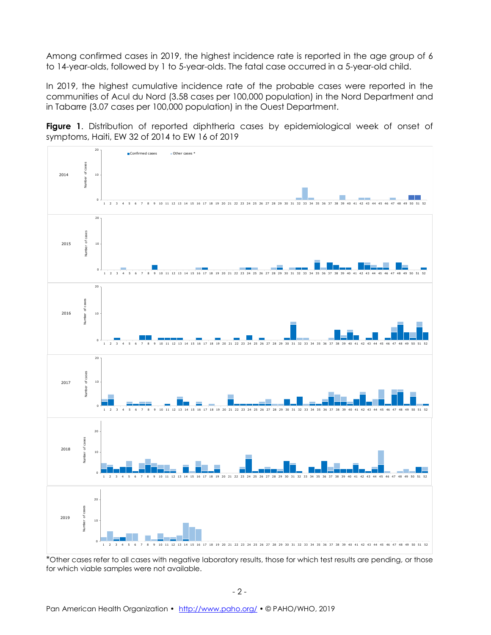Among confirmed cases in 2019, the highest incidence rate is reported in the age group of 6 to 14-year-olds, followed by 1 to 5-year-olds. The fatal case occurred in a 5-year-old child.

In 2019, the highest cumulative incidence rate of the probable cases were reported in the communities of Acul du Nord (3.58 cases per 100,000 population) in the Nord Department and in Tabarre (3.07 cases per 100,000 population) in the Ouest Department.





\*Other cases refer to all cases with negative laboratory results, those for which test results are pending, or those for which viable samples were not available.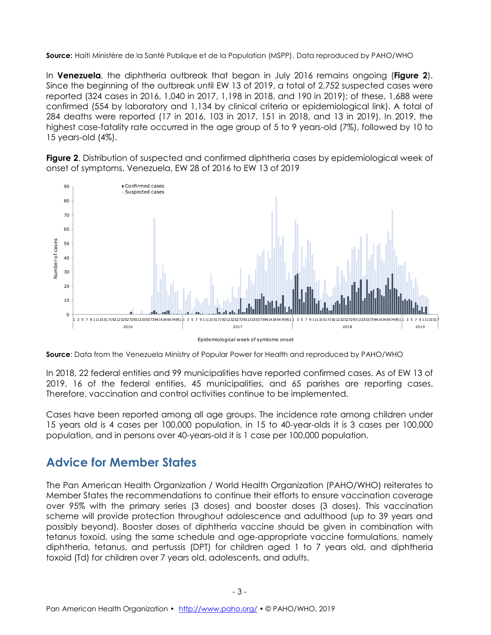**Source:** Haiti Ministère de la Santé Publique et de la Population (MSPP). Data reproduced by PAHO/WHO

In **Venezuela**, the diphtheria outbreak that began in July 2016 remains ongoing (**Figure 2**). Since the beginning of the outbreak until EW 13 of 2019, a total of 2,752 suspected cases were reported (324 cases in 2016, 1,040 in 2017, 1,198 in 2018, and 190 in 2019); of these, 1,688 were confirmed (554 by laboratory and 1,134 by clinical criteria or epidemiological link). A total of 284 deaths were reported (17 in 2016, 103 in 2017, 151 in 2018, and 13 in 2019). In 2019, the highest case-fatality rate occurred in the age group of 5 to 9 years-old (7%), followed by 10 to 15 years-old (4%).

**Figure 2**. Distribution of suspected and confirmed diphtheria cases by epidemiological week of onset of symptoms, Venezuela, EW 28 of 2016 to EW 13 of 2019



**Source**: Data from the Venezuela Ministry of Popular Power for Health and reproduced by PAHO/WHO

In 2018, 22 federal entities and 99 municipalities have reported confirmed cases. As of EW 13 of 2019, 16 of the federal entities, 45 municipalities, and 65 parishes are reporting cases. Therefore, vaccination and control activities continue to be implemented.

Cases have been reported among all age groups. The incidence rate among children under 15 years old is 4 cases per 100,000 population, in 15 to 40-year-olds it is 3 cases per 100,000 population, and in persons over 40-years-old it is 1 case per 100,000 population.

## **Advice for Member States**

The Pan American Health Organization / World Health Organization (PAHO/WHO) reiterates to Member States the recommendations to continue their efforts to ensure vaccination coverage over 95% with the primary series (3 doses) and booster doses (3 doses). This vaccination scheme will provide protection throughout adolescence and adulthood (up to 39 years and possibly beyond). Booster doses of diphtheria vaccine should be given in combination with tetanus toxoid, using the same schedule and age-appropriate vaccine formulations, namely diphtheria, tetanus, and pertussis (DPT) for children aged 1 to 7 years old, and diphtheria toxoid (Td) for children over 7 years old, adolescents, and adults.